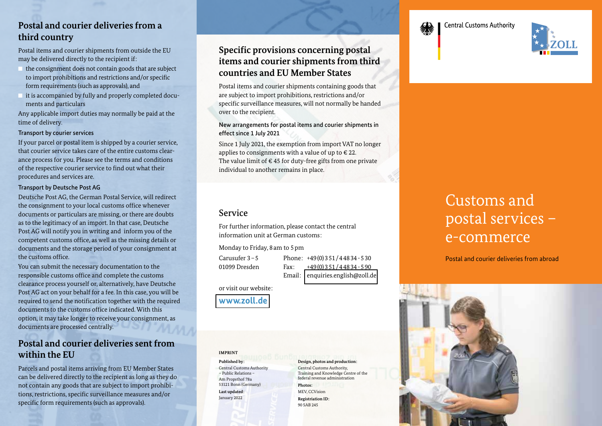## **Postal and courier deliveries from a third country**

Postal items and courier shipments from outside the EU may be delivered directly to the recipient if:

- the consignment does not contain goods that are subject to import prohibitions and restrictions and/or specific form requirements (such as approvals), and
- it is accompanied by fully and properly completed docu ments and particulars

Any applicable import duties may normally be paid at the time of delivery.

#### Transport by courier services

If your parcel or postal item is shipped by a courier service, that courier service takes care of the entire customs clearance process for you. Please see the terms and conditions of the respective courier service to find out what their procedures and services are.

#### Transport by Deutsche Post AG

Deutsche Post AG, the German Postal Service, will redirect the consignment to your local customs office whenever documents or particulars are missing, or there are doubts as to the legitimacy of an import. In that case, Deutsche Post AG will notify you in writing and inform you of the competent customs office, as well as the missing details or documents and the storage period of your consignment at the customs office.

You can submit the necessary documentation to the responsible customs office and complete the customs clearance process yourself or, alternatively, have Deutsche Post AG act on your behalf for a fee. In this case, you will be required to send the notification together with the required documents to the customs office indicated. With this option, it may take longer to receive your consignment, as documents are processed centrally.

## **Postal and courier deliveries sent from within the EU**

Parcels and postal items arriving from EU Member States can be delivered directly to the recipient as long as they do not contain any goods that are subject to import prohibitions, restrictions, specific surveillance measures and/or specific form requirements (such as approvals).

## **Specific provisions concerning postal items and courier shipments from third countries and EU Member States**

Postal items and courier shipments containing goods that are subject to import prohibitions, restrictions and/or specific surveillance measures, will not normally be handed over to the recipient.

New arrangements for postal items and courier shipments in effect since 1 July 2021

Since 1 July 2021, the exemption from import VAT no longer applies to consignments with a value of up to  $\epsilon$  22. The value limit of  $\epsilon$  45 for duty-free gifts from one private individual to another remains in place.

## Service

For further information, please contact the central information unit at German customs:

Monday to Friday, 8 am to 5 pm

Carusufer 3 – 5 Phone: +49 (0) 3 51 / 4 48 34 - 5 30

01099 Dresden Fax: +49 (0) 3 51 / 4 48 34 - 5 90 Email: [enquiries.english@zoll.de](mailto: enquiries.english@zoll.de)

or visit our website:

## **[www.zoll.de](https://www.zoll.de/DE/Home/home_node.html)**

**IMPRINT**

**Published by:** Central Customs Authority – Public Relations – Am Propsthof 78a 53121 Bonn (Germany) **Last updated:** January 2022

#### **Design, photos and production:**  Central Customs Authority, Training and Knowledge Centre of the federal revenue administration

**Photos:** MEV, CCVision **Registriation ID:** 90 SAB 245

# Customs and postal services – e-commerce

Postal and courier deliveries from abroad





## **Central Customs Authority**